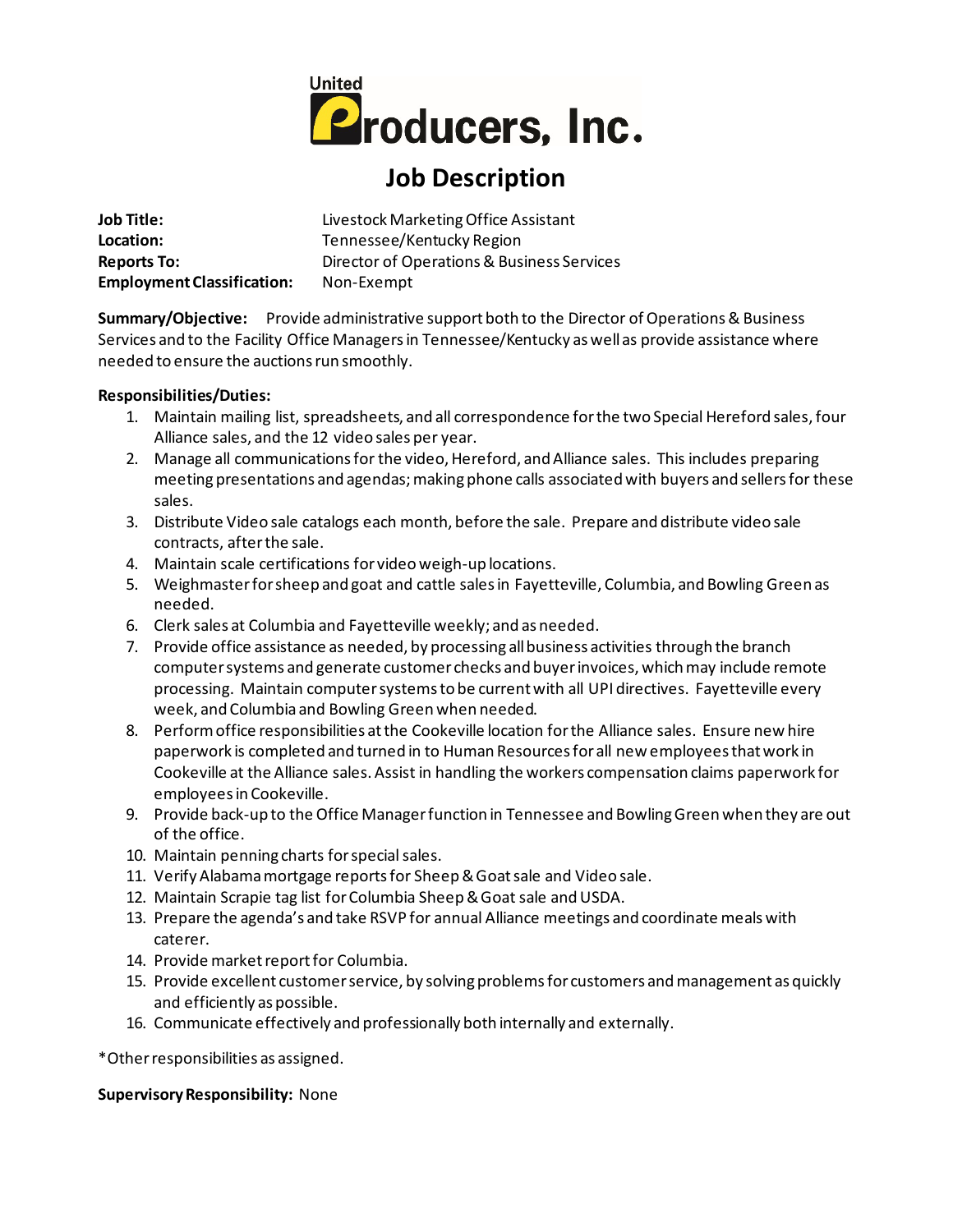

# **Job Description**

**Job Title:** Livestock Marketing Office Assistant Location: Tennessee/Kentucky Region **Reports To:** Director of Operations & Business Services **Employment Classification:** Non-Exempt

**Summary/Objective:** Provide administrative support both to the Director of Operations & Business Services and to the Facility Office Managersin Tennessee/Kentucky as well as provide assistance where needed to ensure the auctions run smoothly.

#### **Responsibilities/Duties:**

- 1. Maintain mailing list, spreadsheets, and all correspondence for the two Special Hereford sales, four Alliance sales, and the 12 video sales per year.
- 2. Manage all communications for the video, Hereford, and Alliance sales. This includes preparing meeting presentations and agendas; making phone calls associated with buyers and sellers for these sales.
- 3. Distribute Video sale catalogs each month, before the sale. Prepare and distribute video sale contracts, after the sale.
- 4. Maintain scale certifications for video weigh-up locations.
- 5. Weighmaster for sheep and goat and cattle salesin Fayetteville, Columbia, and Bowling Green as needed.
- 6. Clerk sales at Columbia and Fayetteville weekly; and as needed.
- 7. Provide office assistance as needed, by processing all business activities through the branch computer systems and generate customer checks and buyer invoices, which may include remote processing. Maintain computer systems to be current with all UPI directives. Fayetteville every week, and Columbia and Bowling Green when needed.
- 8. Perform office responsibilities at the Cookeville location for the Alliance sales. Ensure new hire paperwork is completed and turned in to Human Resources for all new employees that work in Cookeville at the Alliance sales. Assist in handling the workers compensation claims paperwork for employees in Cookeville.
- 9. Provide back-up to the Office Manager function in Tennessee and Bowling Green when they are out of the office.
- 10. Maintain penning charts for special sales.
- 11. Verify Alabama mortgage reports for Sheep & Goat sale and Video sale.
- 12. Maintain Scrapie tag list for Columbia Sheep & Goat sale and USDA.
- 13. Prepare the agenda's and take RSVP for annual Alliance meetings and coordinate meals with caterer.
- 14. Provide market report for Columbia.
- 15. Provide excellent customer service, by solving problems for customers and management as quickly and efficiently as possible.
- 16. Communicate effectively and professionally both internally and externally.

\*Other responsibilities as assigned.

## **Supervisory Responsibility:** None